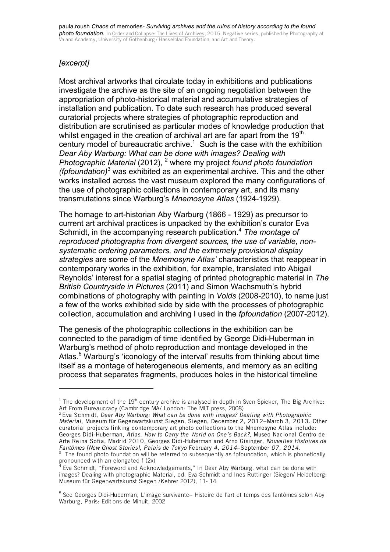## *[excerpt]*

Most archival artworks that circulate today in exhibitions and publications investigate the archive as the site of an ongoing negotiation between the appropriation of photo-historical material and accumulative strategies of installation and publication. To date such research has produced several curatorial projects where strategies of photographic reproduction and distribution are scrutinised as particular modes of knowledge production that whilst engaged in the creation of archival art are far apart from the 19<sup>th</sup> century model of bureaucratic archive. <sup>1</sup> Such is the case with the exhibition *Dear Aby Warburg: What can be done with images? Dealing with Photographic Material* (2012), <sup>2</sup> where my project *found photo foundation (fpfoundation)*<sup>3</sup> was exhibited as an experimental archive. This and the other works installed across the vast museum explored the many configurations of the use of photographic collections in contemporary art, and its many transmutations since Warburg's *Mnemosyne Atlas* (1924-1929).

The homage to art-historian Aby Warburg (1866 - 1929) as precursor to current art archival practices is unpacked by the exhibition's curator Eva Schmidt, in the accompanying research publication.4 *The montage of reproduced photographs from divergent sources, the use of variable, nonsystematic ordering parameters, and the extremely provisional display strategies* are some of the *Mnemosyne Atlas'* characteristics that reappear in contemporary works in the exhibition, for example, translated into Abigail Reynolds' interest for a spatial staging of printed photographic material in *The British Countryside in Pictures* (2011) and Simon Wachsmuth's hybrid combinations of photography with painting in *Voids* (2008-2010), to name just a few of the works exhibited side by side with the processes of photographic collection, accumulation and archiving I used in the *fpfoundation* (2007-2012).

The genesis of the photographic collections in the exhibition can be connected to the paradigm of time identified by George Didi-Huberman in Warburg's method of photo reproduction and montage developed in the Atlas.<sup>5</sup> Warburg's 'iconology of the interval' results from thinking about time itself as a montage of heterogeneous elements, and memory as an editing process that separates fragments, produces holes in the historical timeline

<sup>&</sup>lt;sup>1</sup> The development of the 19<sup>th</sup> century archive is analysed in depth in Sven Spieker, The Big Archive: Art From Bureaucracy (Cambridge MA/ London: The MIT press, 2008)

<sup>2</sup> Eva Schmidt, *Dear Aby Warburg: What can be done with images? Dealing with Photographic Material*, Museum für Gegenwartskunst Siegen, Siegen, December 2, 2012–March 3, 2013. Other curatorial projects linking contemporary art photo collections to the Mnemosyne Atlas include: Georges Didi-Huberman, *Atlas. How to Carry the World on One's Back?,* Museo Nacional Centro de Arte Reina Sofia, Madrid 2010, Georges Didi-Huberman and Arno Gisinger, *Nouvelles Histoires de Fantômes [New Ghost Stories], Palais de Tokyo* February *4, 2014*–September *07, 2014.* 

 $3$  The found photo foundation will be referred to subsequently as fpfoundation, which is phonetically pronounced with an elongated f (2x)

<sup>&</sup>lt;sup>4</sup> Eva Schmidt, "Foreword and Acknowledgements," In Dear Aby Warburg, what can be done with images? Dealing with photographic Material, ed. Eva Schmidt and Ines Ruttinger (Siegen/ Heidelberg: Museum für Gegenwartskunst Siegen /Kehrer 2012), 11- 14

<sup>5</sup> See Georges Didi-Huberman, L'image survivante– Histoire de l'art et temps des fantômes selon Aby Warburg, Paris: Editions de Minuit, 2002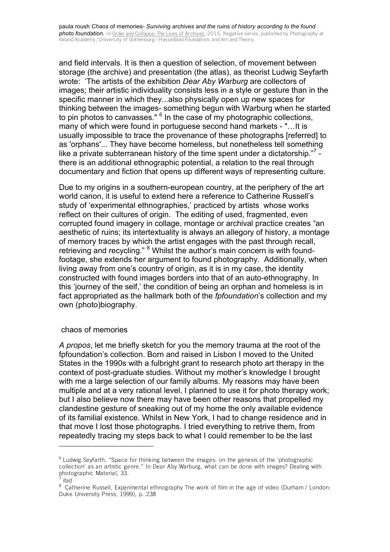and field intervals. It is then a question of selection, of movement between storage (the archive) and presentation (the atlas), as theorist Ludwig Seyfarth wrote: 'The artists of the exhibition *Dear Aby Warburg* are collectors of images; their artistic individuality consists less in a style or gesture than in the specific manner in which they...also physically open up new spaces for thinking between the images- something begun with Warburg when he started to pin photos to canvasses." <sup>6</sup> In the case of my photographic collections, many of which were found in portuguese second hand markets - "…It is usually impossible to trace the provenance of these photographs [referred] to as 'orphans'... They have become homeless, but nonetheless tell something like a private subterranean history of the time spent under a dictatorship. $^{7}$  there is an additional ethnographic potential, a relation to the real through documentary and fiction that opens up different ways of representing culture.

Due to my origins in a southern-european country, at the periphery of the art world canon, it is useful to extend here a reference to Catherine Russell's study of 'experimental ethnographies,' practiced by artists whose works reflect on their cultures of origin. The editing of used, fragmented, even corrupted found imagery in collage, montage or archival practice creates "an aesthetic of ruins; its intertextuality is always an allegory of history, a montage of memory traces by which the artist engages with the past through recall, retrieving and recycling." <sup>8</sup> Whilst the author's main concern is with foundfootage, she extends her argument to found photography. Additionally, when living away from one's country of origin, as it is in my case, the identity constructed with found images borders into that of an auto-ethnography. In this 'journey of the self,' the condition of being an orphan and homeless is in fact appropriated as the hallmark both of the *fpfoundation*'s collection and my own (photo)biography.

## chaos of memories

 

*A propos*, let me briefly sketch for you the memory trauma at the root of the fpfoundation's collection. Born and raised in Lisbon I moved to the United States in the 1990s with a fulbright grant to research photo art therapy in the context of post-graduate studies. Without my mother's knowledge I brought with me a large selection of our family albums. My reasons may have been multiple and at a very rational level, I planned to use it for photo therapy work; but I also believe now there may have been other reasons that propelled my clandestine gesture of sneaking out of my home the only available evidence of its familial existence. Whilst in New York, I had to change residence and in that move I lost those photographs. I tried everything to retrive them, from repeatedly tracing my steps back to what I could remember to be the last

 $6$  Ludwig Seyfarth, "Space for thinking between the images: on the genesis of the 'photographic collection' as an artistic genre." In Dear Aby Warburg, what can be done with images? Dealing with photographic Material, 33.

 $^7$  ibid

<sup>&</sup>lt;sup>8</sup> Catherine Russell, Experimental ethnography The work of film in the age of video (Durham / London: Duke University Press, 1999), p. 238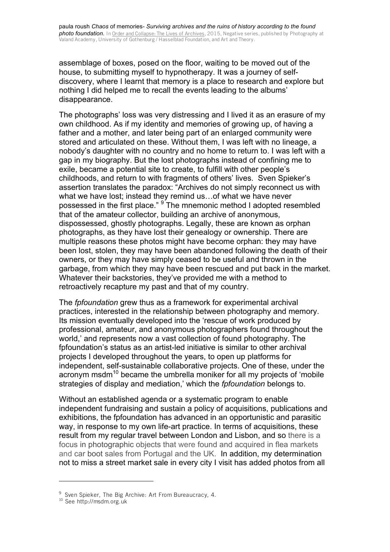paula roush *Chaos* of memories*- Surviving archives and the ruins of history according to the found photo foundation.* In Order and Collapse: The Lives of Archives, 2015, Negative series, published by Photography at Valand Academy, University of Gothenburg / Hasselblad Foundation, and Art and Theory.

assemblage of boxes, posed on the floor, waiting to be moved out of the house, to submitting myself to hypnotherapy. It was a journey of selfdiscovery, where I learnt that memory is a place to research and explore but nothing I did helped me to recall the events leading to the albums' disappearance.

The photographs' loss was very distressing and I lived it as an erasure of my own childhood. As if my identity and memories of growing up, of having a father and a mother, and later being part of an enlarged community were stored and articulated on these. Without them, I was left with no lineage, a nobody's daughter with no country and no home to return to. I was left with a gap in my biography. But the lost photographs instead of confining me to exile, became a potential site to create, to fulfill with other people's childhoods, and return to with fragments of others' lives. Sven Spieker's assertion translates the paradox: "Archives do not simply reconnect us with what we have lost; instead they remind us…of what we have never possessed in the first place." <sup>9</sup> The mnemonic method I adopted resembled that of the amateur collector, building an archive of anonymous, dispossessed, ghostly photographs. Legally, these are known as orphan photographs, as they have lost their genealogy or ownership. There are multiple reasons these photos might have become orphan: they may have been lost, stolen, they may have been abandoned following the death of their owners, or they may have simply ceased to be useful and thrown in the garbage, from which they may have been rescued and put back in the market. Whatever their backstories, they've provided me with a method to retroactively recapture my past and that of my country.

The *fpfoundation* grew thus as a framework for experimental archival practices, interested in the relationship between photography and memory. Its mission eventually developed into the 'rescue of work produced by professional, amateur, and anonymous photographers found throughout the world,' and represents now a vast collection of found photography. The fpfoundation's status as an artist-led initiative is similar to other archival projects I developed throughout the years, to open up platforms for independent, self-sustainable collaborative projects. One of these, under the acronym msdm<sup>10</sup> became the umbrella moniker for all my projects of 'mobile strategies of display and mediation,' which the *fpfoundation* belongs to.

Without an established agenda or a systematic program to enable independent fundraising and sustain a policy of acquisitions, publications and exhibitions, the fpfoundation has advanced in an opportunistic and parasitic way, in response to my own life-art practice. In terms of acquisitions, these result from my regular travel between London and Lisbon, and so there is a focus in photographic objects that were found and acquired in flea markets and car boot sales from Portugal and the UK. In addition, my determination not to miss a street market sale in every city I visit has added photos from all

<sup>&</sup>lt;sup>9</sup> Sven Spieker, The Big Archive: Art From Bureaucracy, 4.

<sup>&</sup>lt;sup>10</sup> See http://msdm.org.uk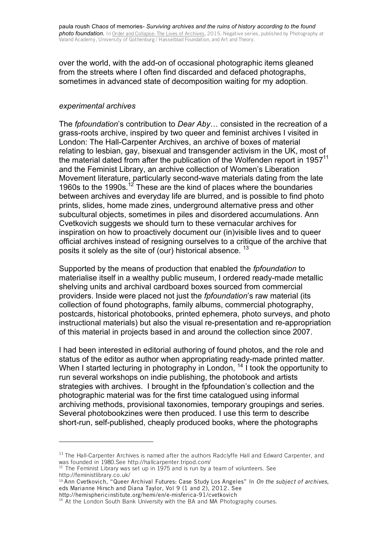over the world, with the add-on of occasional photographic items gleaned from the streets where I often find discarded and defaced photographs, sometimes in advanced state of decomposition waiting for my adoption.

## *experimental archives*

The *fpfoundation*'s contribution to *Dear Aby*… consisted in the recreation of a grass-roots archive, inspired by two queer and feminist archives I visited in London: The Hall-Carpenter Archives, an archive of boxes of material relating to lesbian, gay, bisexual and transgender activism in the UK, most of the material dated from after the publication of the Wolfenden report in  $1957<sup>11</sup>$ and the Feminist Library, an archive collection of Women's Liberation Movement literature, particularly second-wave materials dating from the late 1960s to the 1990s.<sup>12</sup> These are the kind of places where the boundaries between archives and everyday life are blurred, and is possible to find photo prints, slides, home made zines, underground alternative press and other subcultural objects, sometimes in piles and disordered accumulations. Ann Cvetkovich suggests we should turn to these vernacular archives for inspiration on how to proactively document our (in)visible lives and to queer official archives instead of resigning ourselves to a critique of the archive that posits it solely as the site of (our) historical absence. <sup>13</sup>

Supported by the means of production that enabled the *fpfoundation* to materialise itself in a wealthy public museum, I ordered ready-made metallic shelving units and archival cardboard boxes sourced from commercial providers. Inside were placed not just the *fpfoundation*'s raw material (its collection of found photographs, family albums, commercial photography, postcards, historical photobooks, printed ephemera, photo surveys, and photo instructional materials) but also the visual re-presentation and re-appropriation of this material in projects based in and around the collection since 2007.

I had been interested in editorial authoring of found photos, and the role and status of the editor as author when appropriating ready-made printed matter. When I started lecturing in photography in London, <sup>14</sup> I took the opportunity to run several workshops on indie publishing, the photobook and artists strategies with archives. I brought in the fpfoundation's collection and the photographic material was for the first time catalogued using informal archiving methods, provisional taxonomies, temporary groupings and series. Several photobookzines were then produced. I use this term to describe short-run, self-published, cheaply produced books, where the photographs

<sup>&</sup>lt;sup>11</sup> The Hall-Carpenter Archives is named after the authors Radclyffe Hall and Edward Carpenter, and was founded in 1980.See http://hallcarpenter.tripod.com/

 $12$  The Feminist Library was set up in 1975 and is run by a team of volunteers. See http://feministlibrary.co.uk/

<sup>13</sup> Ann Cvetkovich, "Queer Archival Futures: Case Study Los Angeles" In *On the subject of archives*, eds Marianne Hirsch and Diana Taylor, Vol 9 (1 and 2), 2012. See

http://hemisphericinstitute.org/hemi/en/e-misferica-91/cvetkovich

<sup>&</sup>lt;sup>14</sup> At the London South Bank University with the BA and MA Photography courses.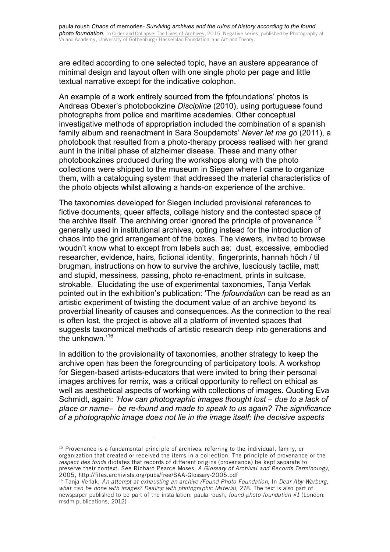are edited according to one selected topic, have an austere appearance of minimal design and layout often with one single photo per page and little textual narrative except for the indicative colophon.

An example of a work entirely sourced from the fpfoundations' photos is Andreas Obexer's photobookzine *Discipline* (2010), using portuguese found photographs from police and maritime academies. Other conceptual investigative methods of appropriation included the combination of a spanish family album and reenactment in Sara Soupdemots' *Never let me go* (2011), a photobook that resulted from a photo-therapy process realised with her grand aunt in the initial phase of alzheimer disease. These and many other photobookzines produced during the workshops along with the photo collections were shipped to the museum in Siegen where I came to organize them, with a cataloguing system that addressed the material characteristics of the photo objects whilst allowing a hands-on experience of the archive.

The taxonomies developed for Siegen included provisional references to fictive documents, queer affects, collage history and the contested space of the archive itself. The archiving order ignored the principle of provenance <sup>15</sup> generally used in institutional archives, opting instead for the introduction of chaos into the grid arrangement of the boxes. The viewers, invited to browse woudn't know what to except from labels such as: dust, excessive, embodied researcher, evidence, hairs, fictional identity, fingerprints, hannah höch / til brugman, instructions on how to survive the archive, lusciously tactile, matt and stupid, messiness, passing, photo re-enactment, prints in suitcase, strokable. Elucidating the use of experimental taxonomies, Tanja Verlak pointed out in the exhibition's publication: 'The *fpfoundation* can be read as an artistic experiment of twisting the document value of an archive beyond its proverbial linearity of causes and consequences. As the connection to the real is often lost, the project is above all a platform of invented spaces that suggests taxonomical methods of artistic research deep into generations and the unknown.'<sup>16</sup>

In addition to the provisionality of taxonomies, another strategy to keep the archive open has been the foregrounding of participatory tools. A workshop for Siegen-based artists-educators that were invited to bring their personal images archives for remix, was a critical opportunity to reflect on ethical as well as aesthetical aspects of working with collections of images. Quoting Eva Schmidt, again: *'How can photographic images thought lost – due to a lack of place or name– be re-found and made to speak to us again? The significance of a photographic image does not lie in the image itself; the decisive aspects* 

 $15$  Provenance is a fundamental principle of archives, referring to the individual, family, or organization that created or received the items in a collection. The principle of provenance or the *respect des fonds* dictates that records of different origins (provenance) be kept separate to preserve their context. See Richard Pearce Moses, *A Glossary of Archival and Records Terminology,* 2005, http://files.archivists.org/pubs/free/SAA-Glossary-2005.pdf

<sup>16</sup> Tanja Verlak, *An attempt at exhausting an archive /Found Photo Foundation*, In *Dear Aby Warburg,*  what can be done with images? Dealing with photographic Material, 278. The text is also part of newspaper published to be part of the installation: paula roush, *found photo foundation #1* (London: msdm publications, 2012)